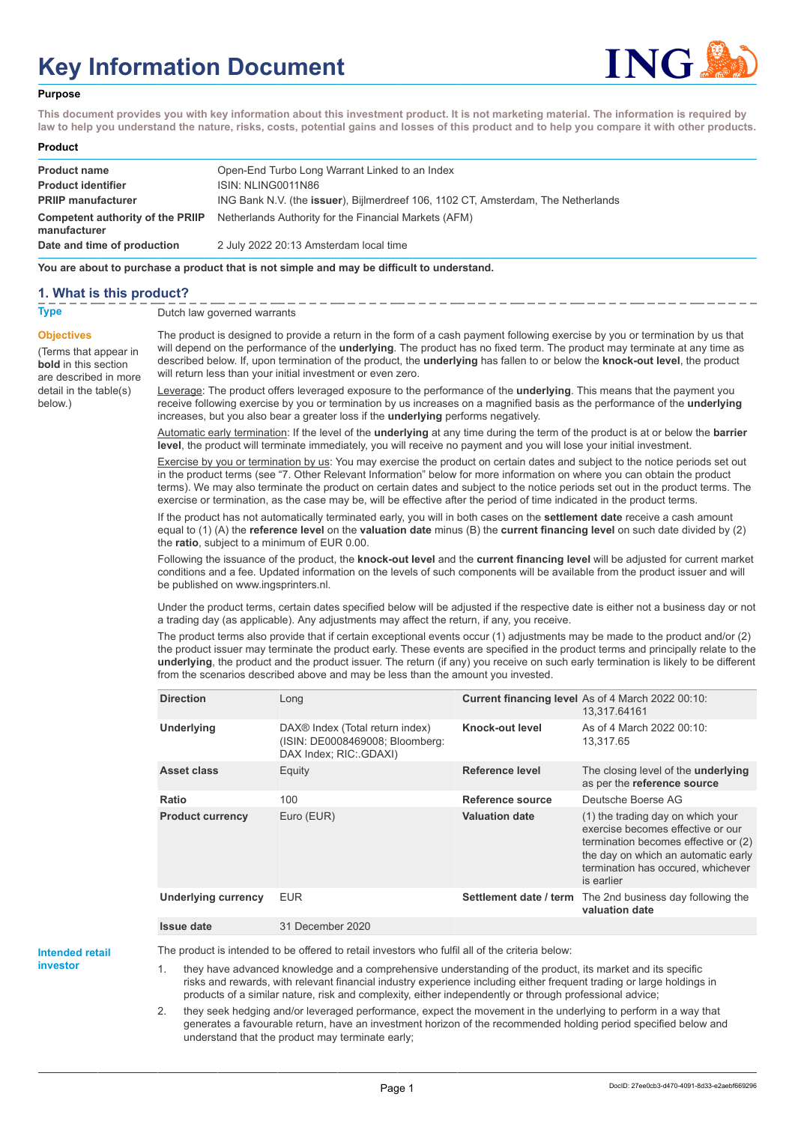# **Key Information Document**



#### **Purpose**

**This document provides you with key information about this investment product. It is not marketing material. The information is required by law to help you understand the nature, risks, costs, potential gains and losses of this product and to help you compare it with other products.**

#### **Product**

| <b>Product name</b>                              | Open-End Turbo Long Warrant Linked to an Index                                            |
|--------------------------------------------------|-------------------------------------------------------------------------------------------|
| <b>Product identifier</b>                        | ISIN: NLING0011N86                                                                        |
| <b>PRIIP manufacturer</b>                        | ING Bank N.V. (the <b>issuer</b> ), Bijlmerdreef 106, 1102 CT, Amsterdam, The Netherlands |
| Competent authority of the PRIIP<br>manufacturer | Netherlands Authority for the Financial Markets (AFM)                                     |
| Date and time of production                      | 2 July 2022 20:13 Amsterdam local time                                                    |

**You are about to purchase a product that is not simple and may be difficult to understand.**

## **1. What is this product?**

**Objectives**

below.)

(Terms that appear in **bold** in this section are described in more detail in the table(s)

**Type** Dutch law governed warrants

The product is designed to provide a return in the form of a cash payment following exercise by you or termination by us that will depend on the performance of the **underlying**. The product has no fixed term. The product may terminate at any time as described below. If, upon termination of the product, the **underlying** has fallen to or below the **knock-out level**, the product will return less than your initial investment or even zero.

Leverage: The product offers leveraged exposure to the performance of the **underlying**. This means that the payment you receive following exercise by you or termination by us increases on a magnified basis as the performance of the **underlying** increases, but you also bear a greater loss if the **underlying** performs negatively.

Automatic early termination: If the level of the **underlying** at any time during the term of the product is at or below the **barrier level**, the product will terminate immediately, you will receive no payment and you will lose your initial investment.

Exercise by you or termination by us: You may exercise the product on certain dates and subject to the notice periods set out in the product terms (see "7. Other Relevant Information" below for more information on where you can obtain the product terms). We may also terminate the product on certain dates and subject to the notice periods set out in the product terms. The exercise or termination, as the case may be, will be effective after the period of time indicated in the product terms.

If the product has not automatically terminated early, you will in both cases on the **settlement date** receive a cash amount equal to (1) (A) the **reference level** on the **valuation date** minus (B) the **current financing level** on such date divided by (2) the **ratio**, subject to a minimum of EUR 0.00.

Following the issuance of the product, the **knock-out level** and the **current financing level** will be adjusted for current market conditions and a fee. Updated information on the levels of such components will be available from the product issuer and will be published on www.ingsprinters.nl.

Under the product terms, certain dates specified below will be adjusted if the respective date is either not a business day or not a trading day (as applicable). Any adjustments may affect the return, if any, you receive.

The product terms also provide that if certain exceptional events occur (1) adjustments may be made to the product and/or (2) the product issuer may terminate the product early. These events are specified in the product terms and principally relate to the **underlying**, the product and the product issuer. The return (if any) you receive on such early termination is likely to be different from the scenarios described above and may be less than the amount you invested.

| <b>Direction</b>           | Long                                                                                         |                        | Current financing level As of 4 March 2022 00:10:<br>13,317.64161                                                                                                                                         |
|----------------------------|----------------------------------------------------------------------------------------------|------------------------|-----------------------------------------------------------------------------------------------------------------------------------------------------------------------------------------------------------|
| <b>Underlying</b>          | DAX® Index (Total return index)<br>(ISIN: DE0008469008; Bloomberg:<br>DAX Index: RIC: GDAXI) | Knock-out level        | As of 4 March 2022 00:10:<br>13,317.65                                                                                                                                                                    |
| <b>Asset class</b>         | Equity                                                                                       | Reference level        | The closing level of the <b>underlying</b><br>as per the reference source                                                                                                                                 |
| Ratio                      | 100                                                                                          | Reference source       | Deutsche Boerse AG                                                                                                                                                                                        |
| <b>Product currency</b>    | Euro (EUR)                                                                                   | <b>Valuation date</b>  | (1) the trading day on which your<br>exercise becomes effective or our<br>termination becomes effective or (2)<br>the day on which an automatic early<br>termination has occured, whichever<br>is earlier |
| <b>Underlying currency</b> | <b>EUR</b>                                                                                   | Settlement date / term | The 2nd business day following the<br>valuation date                                                                                                                                                      |
| <b>Issue date</b>          | 31 December 2020                                                                             |                        |                                                                                                                                                                                                           |

**Intended retail investor**

The product is intended to be offered to retail investors who fulfil all of the criteria below:

1. they have advanced knowledge and a comprehensive understanding of the product, its market and its specific risks and rewards, with relevant financial industry experience including either frequent trading or large holdings in products of a similar nature, risk and complexity, either independently or through professional advice;

2. they seek hedging and/or leveraged performance, expect the movement in the underlying to perform in a way that generates a favourable return, have an investment horizon of the recommended holding period specified below and understand that the product may terminate early;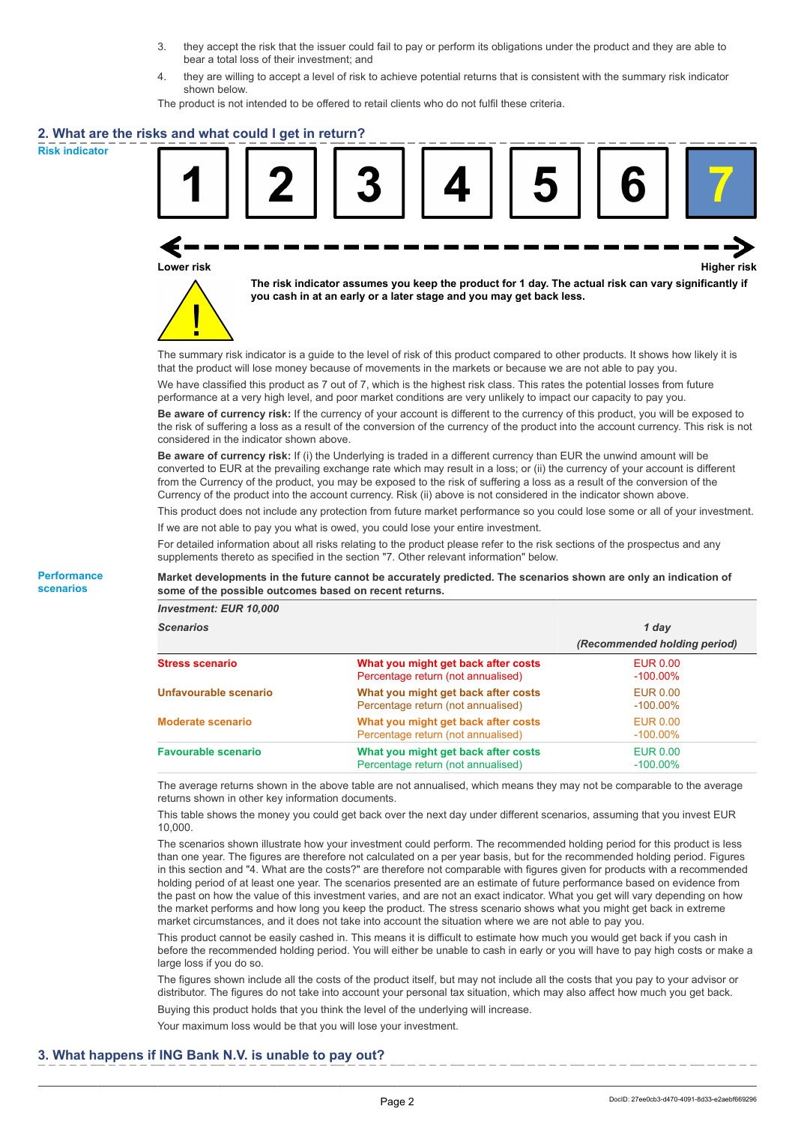- 3. they accept the risk that the issuer could fail to pay or perform its obligations under the product and they are able to bear a total loss of their investment; and
- 4. they are willing to accept a level of risk to achieve potential returns that is consistent with the summary risk indicator shown below.

The product is not intended to be offered to retail clients who do not fulfil these criteria.

#### **2. What are the risks and what could I get in return?**

**Risk indicator**

**Performance scenarios**



**Lower risk Higher risk**



**The risk indicator assumes you keep the product for 1 day. The actual risk can vary significantly if you cash in at an early or a later stage and you may get back less.**

The summary risk indicator is a guide to the level of risk of this product compared to other products. It shows how likely it is that the product will lose money because of movements in the markets or because we are not able to pay you.

We have classified this product as 7 out of 7, which is the highest risk class. This rates the potential losses from future performance at a very high level, and poor market conditions are very unlikely to impact our capacity to pay you.

**Be aware of currency risk:** If the currency of your account is different to the currency of this product, you will be exposed to the risk of suffering a loss as a result of the conversion of the currency of the product into the account currency. This risk is not considered in the indicator shown above.

**Be aware of currency risk:** If (i) the Underlying is traded in a different currency than EUR the unwind amount will be converted to EUR at the prevailing exchange rate which may result in a loss; or (ii) the currency of your account is different from the Currency of the product, you may be exposed to the risk of suffering a loss as a result of the conversion of the Currency of the product into the account currency. Risk (ii) above is not considered in the indicator shown above.

This product does not include any protection from future market performance so you could lose some or all of your investment. If we are not able to pay you what is owed, you could lose your entire investment.

For detailed information about all risks relating to the product please refer to the risk sections of the prospectus and any supplements thereto as specified in the section "7. Other relevant information" below.

**Market developments in the future cannot be accurately predicted. The scenarios shown are only an indication of some of the possible outcomes based on recent returns.**

*Investment: EUR 10,000*

| <b>Scenarios</b>           |                                                                           | 1 day                          |  |
|----------------------------|---------------------------------------------------------------------------|--------------------------------|--|
|                            |                                                                           | (Recommended holding period)   |  |
| <b>Stress scenario</b>     | What you might get back after costs<br>Percentage return (not annualised) | <b>EUR 0.00</b><br>$-100.00\%$ |  |
| Unfavourable scenario      | What you might get back after costs<br>Percentage return (not annualised) | EUR 0.00<br>$-100.00\%$        |  |
| <b>Moderate scenario</b>   | What you might get back after costs<br>Percentage return (not annualised) | <b>EUR 0.00</b><br>$-100.00\%$ |  |
| <b>Favourable scenario</b> | What you might get back after costs<br>Percentage return (not annualised) | <b>EUR 0.00</b><br>$-100.00\%$ |  |

The average returns shown in the above table are not annualised, which means they may not be comparable to the average returns shown in other key information documents.

This table shows the money you could get back over the next day under different scenarios, assuming that you invest EUR 10,000.

The scenarios shown illustrate how your investment could perform. The recommended holding period for this product is less than one year. The figures are therefore not calculated on a per year basis, but for the recommended holding period. Figures in this section and "4. What are the costs?" are therefore not comparable with figures given for products with a recommended holding period of at least one year. The scenarios presented are an estimate of future performance based on evidence from the past on how the value of this investment varies, and are not an exact indicator. What you get will vary depending on how the market performs and how long you keep the product. The stress scenario shows what you might get back in extreme market circumstances, and it does not take into account the situation where we are not able to pay you.

This product cannot be easily cashed in. This means it is difficult to estimate how much you would get back if you cash in before the recommended holding period. You will either be unable to cash in early or you will have to pay high costs or make a large loss if you do so.

The figures shown include all the costs of the product itself, but may not include all the costs that you pay to your advisor or distributor. The figures do not take into account your personal tax situation, which may also affect how much you get back.

Buying this product holds that you think the level of the underlying will increase.

Your maximum loss would be that you will lose your investment.

#### **3. What happens if ING Bank N.V. is unable to pay out?**